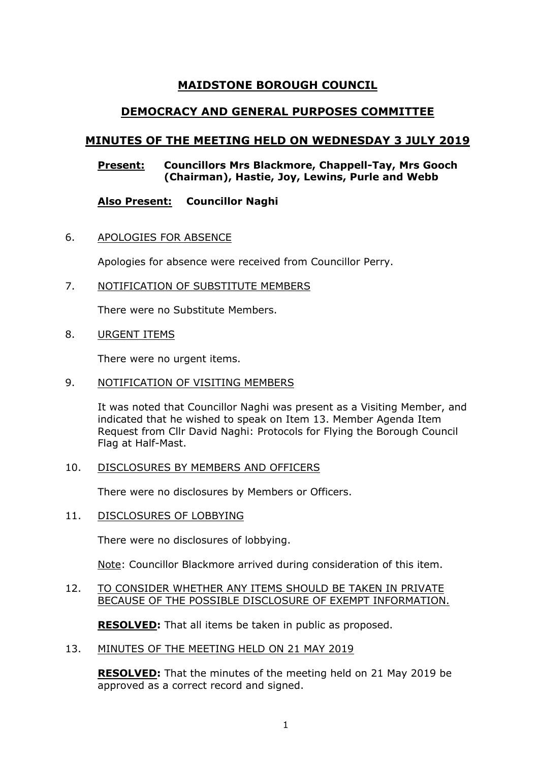# **MAIDSTONE BOROUGH COUNCIL**

# **DEMOCRACY AND GENERAL PURPOSES COMMITTEE**

# **MINUTES OF THE MEETING HELD ON WEDNESDAY 3 JULY 2019**

#### **Present: Councillors Mrs Blackmore, Chappell-Tay, Mrs Gooch (Chairman), Hastie, Joy, Lewins, Purle and Webb**

# **Also Present: Councillor Naghi**

6. APOLOGIES FOR ABSENCE

Apologies for absence were received from Councillor Perry.

7. NOTIFICATION OF SUBSTITUTE MEMBERS

There were no Substitute Members.

8. URGENT ITEMS

There were no urgent items.

9. NOTIFICATION OF VISITING MEMBERS

It was noted that Councillor Naghi was present as a Visiting Member, and indicated that he wished to speak on Item 13. Member Agenda Item Request from Cllr David Naghi: Protocols for Flying the Borough Council Flag at Half-Mast.

#### 10. DISCLOSURES BY MEMBERS AND OFFICERS

There were no disclosures by Members or Officers.

11. DISCLOSURES OF LOBBYING

There were no disclosures of lobbying.

Note: Councillor Blackmore arrived during consideration of this item.

#### 12. TO CONSIDER WHETHER ANY ITEMS SHOULD BE TAKEN IN PRIVATE BECAUSE OF THE POSSIBLE DISCLOSURE OF EXEMPT INFORMATION.

**RESOLVED:** That all items be taken in public as proposed.

13. MINUTES OF THE MEETING HELD ON 21 MAY 2019

**RESOLVED:** That the minutes of the meeting held on 21 May 2019 be approved as a correct record and signed.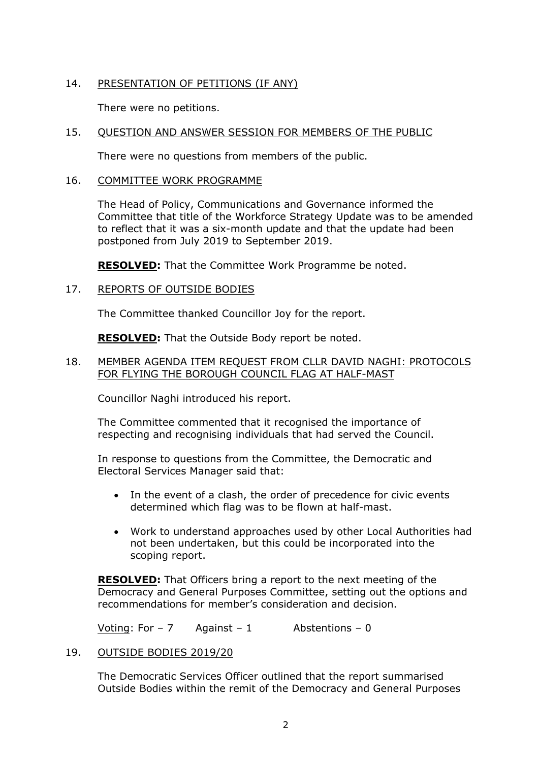# 14. PRESENTATION OF PETITIONS (IF ANY)

There were no petitions.

## 15. QUESTION AND ANSWER SESSION FOR MEMBERS OF THE PUBLIC

There were no questions from members of the public.

#### 16. COMMITTEE WORK PROGRAMME

The Head of Policy, Communications and Governance informed the Committee that title of the Workforce Strategy Update was to be amended to reflect that it was a six-month update and that the update had been postponed from July 2019 to September 2019.

**RESOLVED:** That the Committee Work Programme be noted.

#### 17. REPORTS OF OUTSIDE BODIES

The Committee thanked Councillor Joy for the report.

**RESOLVED:** That the Outside Body report be noted.

#### 18. MEMBER AGENDA ITEM REQUEST FROM CLLR DAVID NAGHI: PROTOCOLS FOR FLYING THE BOROUGH COUNCIL FLAG AT HALF-MAST

Councillor Naghi introduced his report.

The Committee commented that it recognised the importance of respecting and recognising individuals that had served the Council.

In response to questions from the Committee, the Democratic and Electoral Services Manager said that:

- In the event of a clash, the order of precedence for civic events determined which flag was to be flown at half-mast.
- Work to understand approaches used by other Local Authorities had not been undertaken, but this could be incorporated into the scoping report.

**RESOLVED:** That Officers bring a report to the next meeting of the Democracy and General Purposes Committee, setting out the options and recommendations for member's consideration and decision.

Voting: For  $-7$  Against  $-1$  Abstentions  $-0$ 

#### 19. OUTSIDE BODIES 2019/20

The Democratic Services Officer outlined that the report summarised Outside Bodies within the remit of the Democracy and General Purposes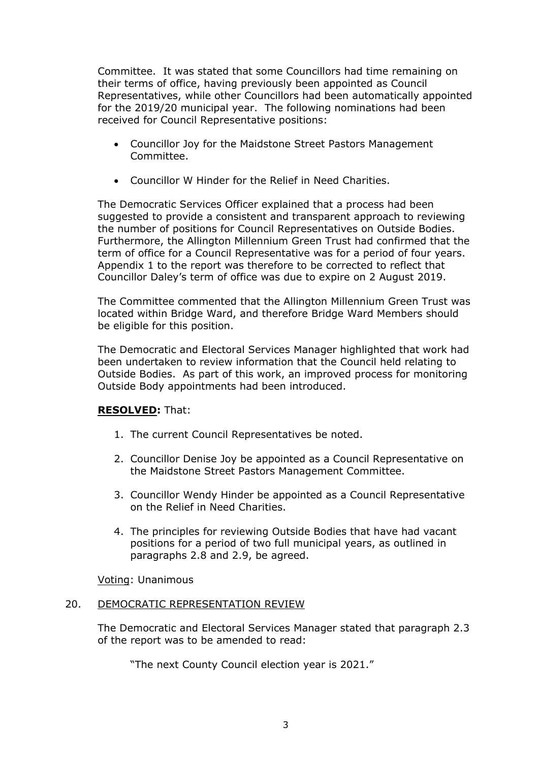Committee. It was stated that some Councillors had time remaining on their terms of office, having previously been appointed as Council Representatives, while other Councillors had been automatically appointed for the 2019/20 municipal year. The following nominations had been received for Council Representative positions:

- Councillor Joy for the Maidstone Street Pastors Management Committee.
- Councillor W Hinder for the Relief in Need Charities.

The Democratic Services Officer explained that a process had been suggested to provide a consistent and transparent approach to reviewing the number of positions for Council Representatives on Outside Bodies. Furthermore, the Allington Millennium Green Trust had confirmed that the term of office for a Council Representative was for a period of four years. Appendix 1 to the report was therefore to be corrected to reflect that Councillor Daley's term of office was due to expire on 2 August 2019.

The Committee commented that the Allington Millennium Green Trust was located within Bridge Ward, and therefore Bridge Ward Members should be eligible for this position.

The Democratic and Electoral Services Manager highlighted that work had been undertaken to review information that the Council held relating to Outside Bodies. As part of this work, an improved process for monitoring Outside Body appointments had been introduced.

#### **RESOLVED:** That:

- 1. The current Council Representatives be noted.
- 2. Councillor Denise Joy be appointed as a Council Representative on the Maidstone Street Pastors Management Committee.
- 3. Councillor Wendy Hinder be appointed as a Council Representative on the Relief in Need Charities.
- 4. The principles for reviewing Outside Bodies that have had vacant positions for a period of two full municipal years, as outlined in paragraphs 2.8 and 2.9, be agreed.

Voting: Unanimous

#### 20. DEMOCRATIC REPRESENTATION REVIEW

The Democratic and Electoral Services Manager stated that paragraph 2.3 of the report was to be amended to read:

"The next County Council election year is 2021."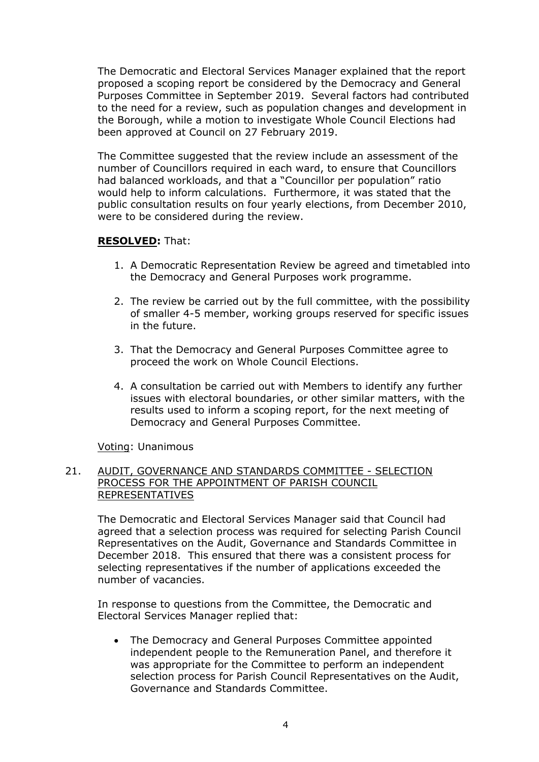The Democratic and Electoral Services Manager explained that the report proposed a scoping report be considered by the Democracy and General Purposes Committee in September 2019. Several factors had contributed to the need for a review, such as population changes and development in the Borough, while a motion to investigate Whole Council Elections had been approved at Council on 27 February 2019.

The Committee suggested that the review include an assessment of the number of Councillors required in each ward, to ensure that Councillors had balanced workloads, and that a "Councillor per population" ratio would help to inform calculations. Furthermore, it was stated that the public consultation results on four yearly elections, from December 2010, were to be considered during the review.

#### **RESOLVED:** That:

- 1. A Democratic Representation Review be agreed and timetabled into the Democracy and General Purposes work programme.
- 2. The review be carried out by the full committee, with the possibility of smaller 4-5 member, working groups reserved for specific issues in the future.
- 3. That the Democracy and General Purposes Committee agree to proceed the work on Whole Council Elections.
- 4. A consultation be carried out with Members to identify any further issues with electoral boundaries, or other similar matters, with the results used to inform a scoping report, for the next meeting of Democracy and General Purposes Committee.

Voting: Unanimous

# 21. AUDIT, GOVERNANCE AND STANDARDS COMMITTEE - SELECTION PROCESS FOR THE APPOINTMENT OF PARISH COUNCIL REPRESENTATIVES

The Democratic and Electoral Services Manager said that Council had agreed that a selection process was required for selecting Parish Council Representatives on the Audit, Governance and Standards Committee in December 2018. This ensured that there was a consistent process for selecting representatives if the number of applications exceeded the number of vacancies.

In response to questions from the Committee, the Democratic and Electoral Services Manager replied that:

 The Democracy and General Purposes Committee appointed independent people to the Remuneration Panel, and therefore it was appropriate for the Committee to perform an independent selection process for Parish Council Representatives on the Audit, Governance and Standards Committee.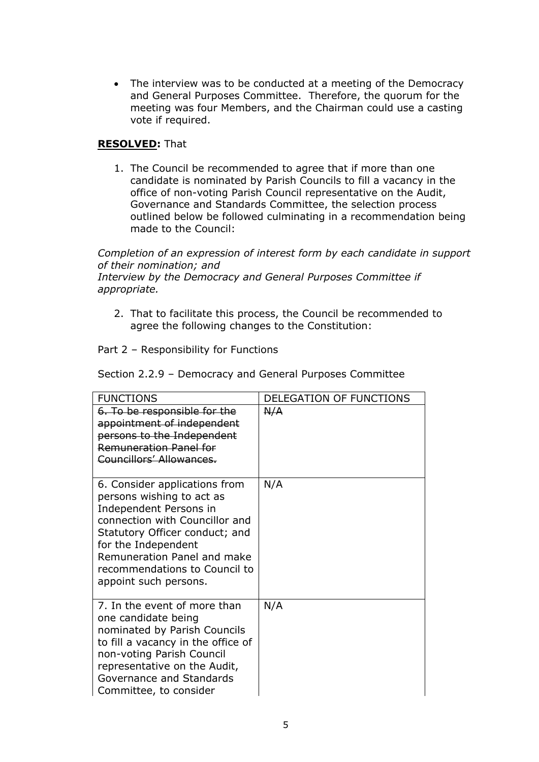• The interview was to be conducted at a meeting of the Democracy and General Purposes Committee. Therefore, the quorum for the meeting was four Members, and the Chairman could use a casting vote if required.

## **RESOLVED:** That

1. The Council be recommended to agree that if more than one candidate is nominated by Parish Councils to fill a vacancy in the office of non-voting Parish Council representative on the Audit, Governance and Standards Committee, the selection process outlined below be followed culminating in a recommendation being made to the Council:

*Completion of an expression of interest form by each candidate in support of their nomination; and*

*Interview by the Democracy and General Purposes Committee if appropriate.*

2. That to facilitate this process, the Council be recommended to agree the following changes to the Constitution:

Part 2 – Responsibility for Functions

| <b>FUNCTIONS</b>                                                                                                                                                                                                                                                         | DELEGATION OF FUNCTIONS |
|--------------------------------------------------------------------------------------------------------------------------------------------------------------------------------------------------------------------------------------------------------------------------|-------------------------|
| 6. To be responsible for the<br>appointment of independent<br>persons to the Independent<br><b>Remuneration Panel for</b><br>Councillors' Allowances.                                                                                                                    | A/A                     |
| 6. Consider applications from<br>persons wishing to act as<br>Independent Persons in<br>connection with Councillor and<br>Statutory Officer conduct; and<br>for the Independent<br>Remuneration Panel and make<br>recommendations to Council to<br>appoint such persons. | N/A                     |
| 7. In the event of more than<br>one candidate being<br>nominated by Parish Councils<br>to fill a vacancy in the office of<br>non-voting Parish Council<br>representative on the Audit,<br>Governance and Standards<br>Committee, to consider                             | N/A                     |

Section 2.2.9 – Democracy and General Purposes Committee